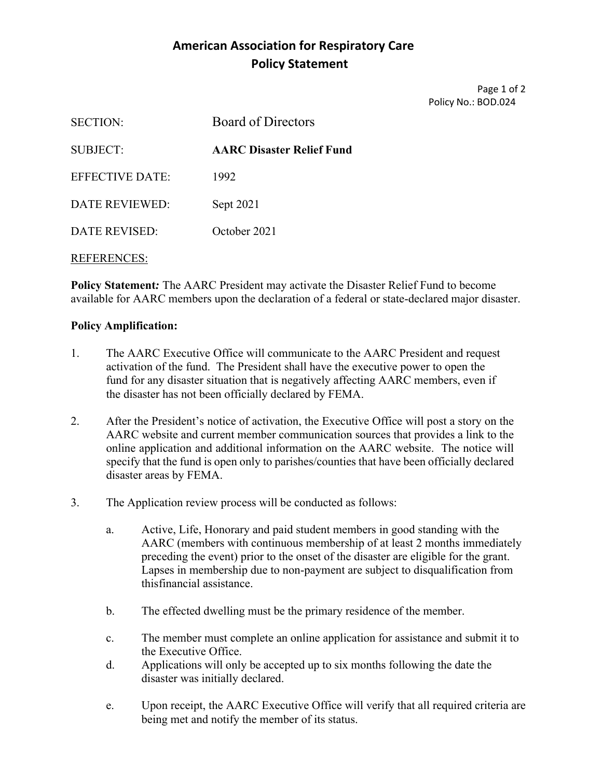## **American Association for Respiratory Care Policy Statement**

Page 1 of 2 Policy No.: BOD.024

| <b>SECTION:</b>    | <b>Board of Directors</b>        |
|--------------------|----------------------------------|
| SUBJECT:           | <b>AARC Disaster Relief Fund</b> |
| EFFECTIVE DATE:    | 1992                             |
| DATE REVIEWED:     | Sept 2021                        |
| DATE REVISED:      | October 2021                     |
| <b>REFERENCES:</b> |                                  |

**Policy Statement***:* The AARC President may activate the Disaster Relief Fund to become available for AARC members upon the declaration of a federal or state-declared major disaster.

## **Policy Amplification:**

- 1. The AARC Executive Office will communicate to the AARC President and request activation of the fund. The President shall have the executive power to open the fund for any disaster situation that is negatively affecting AARC members, even if the disaster has not been officially declared by FEMA.
- 2. After the President's notice of activation, the Executive Office will post a story on the AARC website and current member communication sources that provides a link to the online application and additional information on the AARC website. The notice will specify that the fund is open only to parishes/counties that have been officially declared disaster areas by FEMA.
- 3. The Application review process will be conducted as follows:
	- a. Active, Life, Honorary and paid student members in good standing with the AARC (members with continuous membership of at least 2 months immediately preceding the event) prior to the onset of the disaster are eligible for the grant. Lapses in membership due to non-payment are subject to disqualification from this financial assistance.
	- b. The effected dwelling must be the primary residence of the member.
	- c. The member must complete an online application for assistance and submit it to the Executive Office.
	- d. Applications will only be accepted up to six months following the date the disaster was initially declared.
	- e. Upon receipt, the AARC Executive Office will verify that all required criteria are being met and notify the member of its status.